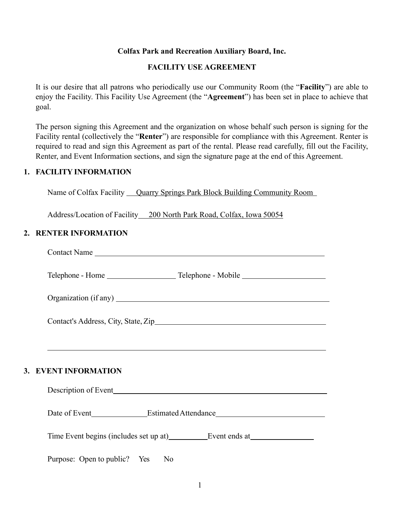## **Colfax Park and Recreation Auxiliary Board, Inc.**

### **FACILITY USE AGREEMENT**

It is our desire that all patrons who periodically use our Community Room (the "**Facility**") are able to enjoy the Facility. This Facility Use Agreement (the "**Agreement**") has been set in place to achieve that goal.

The person signing this Agreement and the organization on whose behalf such person is signing for the Facility rental (collectively the "**Renter**") are responsible for compliance with this Agreement. Renter is required to read and sign this Agreement as part of the rental. Please read carefully, fill out the Facility, Renter, and Event Information sections, and sign the signature page at the end of this Agreement.

## **1. FACILITY INFORMATION**

Name of Colfax Facility <u>Quarry Springs Park Block Building Community Room</u>

Address/Location of Facility 200 North Park Road, Colfax, Iowa 50054

# **2. RENTER INFORMATION**

| Contact's Address, City, State, Zip                                               |
|-----------------------------------------------------------------------------------|
|                                                                                   |
| 3. EVENT INFORMATION                                                              |
|                                                                                   |
| Date of Event_______________Estimated Attendance_________________________________ |
| Time Event begins (includes set up at) Event ends at Event ends at                |
| Purpose: Open to public? Yes<br>N <sub>0</sub>                                    |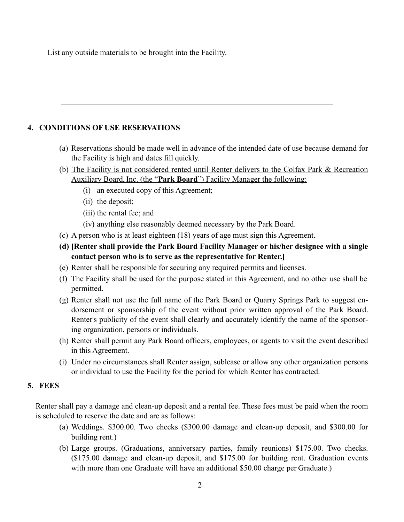List any outside materials to be brought into the Facility.

# **4. CONDITIONS OFUSE RESERVATIONS**

- (a) Reservations should be made well in advance of the intended date of use because demand for the Facility is high and dates fill quickly.
- (b) The Facility is not considered rented until Renter delivers to the Colfax Park & Recreation Auxiliary Board, Inc. (the "**Park Board**") Facility Manager the following:
	- (i) an executed copy of this Agreement;
	- (ii) the deposit;
	- (iii) the rental fee; and
	- (iv) anything else reasonably deemed necessary by the Park Board.
- (c) A person who is at least eighteen (18) years of age must sign this Agreement.
- **(d) [Renter shall provide the Park Board Facility Manager or his/her designee with a single contact person who is to serve as the representative for Renter.]**
- (e) Renter shall be responsible for securing any required permits and licenses.
- (f) The Facility shall be used for the purpose stated in this Agreement, and no other use shall be permitted.
- (g) Renter shall not use the full name of the Park Board or Quarry Springs Park to suggest endorsement or sponsorship of the event without prior written approval of the Park Board. Renter's publicity of the event shall clearly and accurately identify the name of the sponsoring organization, persons or individuals.
- (h) Renter shall permit any Park Board officers, employees, or agents to visit the event described in this Agreement.
- (i) Under no circumstances shall Renter assign, sublease or allow any other organization persons or individual to use the Facility for the period for which Renter has contracted.

# **5. FEES**

Renter shall pay a damage and clean-up deposit and a rental fee. These fees must be paid when the room is scheduled to reserve the date and are as follows:

- (a) Weddings. \$300.00. Two checks (\$300.00 damage and clean-up deposit, and \$300.00 for building rent.)
- (b) Large groups. (Graduations, anniversary parties, family reunions) \$175.00. Two checks. (\$175.00 damage and clean-up deposit, and \$175.00 for building rent. Graduation events with more than one Graduate will have an additional \$50.00 charge per Graduate.)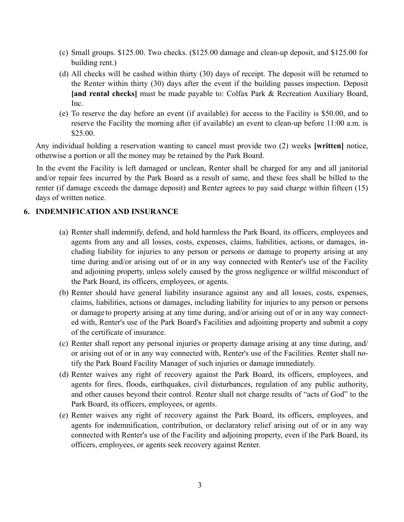- (c) Small groups. \$125.00. Two checks. (\$125.00 damage and clean-up deposit, and \$125.00 for building rent.)
- (d) All checks will be cashed within thirty (30) days of receipt. The deposit will be returned to the Renter within thirty (30) days after the event if the building passes inspection. Deposit **[and rental checks]** must be made payable to: Colfax Park & Recreation Auxiliary Board, Inc.
- (e) To reserve the day before an event (if available) for access to the Facility is \$50.00, and to reserve the Facility the morning after (if available) an event to clean-up before 11:00 a.m. is \$25.00.

Any individual holding a reservation wanting to cancel must provide two (2) weeks **[written]** notice, otherwise a portion or all the money may be retained by the Park Board.

In the event the Facility is left damaged or unclean, Renter shall be charged for any and all janitorial and/or repair fees incurred by the Park Board as a result of same, and these fees shall be billed to the renter (if damage exceeds the damage deposit) and Renter agrees to pay said charge within fifteen (15) days of written notice.

## **6. INDEMNIFICATION AND INSURANCE**

- (a) Renter shall indemnify, defend, and hold harmless the Park Board, its officers, employees and agents from any and all losses, costs, expenses, claims, liabilities, actions, or damages, including liability for injuries to any person or persons or damage to property arising at any time during and/or arising out of or in any way connected with Renter's use of the Facility and adjoining property, unless solely caused by the gross negligence or willful misconduct of the Park Board, its officers, employees, or agents.
- (b) Renter should have general liability insurance against any and all losses, costs, expenses, claims, liabilities, actions or damages, including liability for injuries to any person or persons or damage to property arising at any time during, and/or arising out of or in any way connected with, Renter's use of the Park Board's Facilities and adjoining property and submit a copy of the certificate of insurance.
- (c) Renter shall report any personal injuries or property damage arising at any time during, and/ or arising out of or in any way connected with, Renter's use of the Facilities. Renter shall notify the Park Board Facility Manager of such injuries or damage immediately.
- (d) Renter waives any right of recovery against the Park Board, its officers, employees, and agents for fires, floods, earthquakes, civil disturbances, regulation of any public authority, and other causes beyond their control. Renter shall not charge results of "acts of God" to the Park Board, its officers, employees, or agents.
- (e) Renter waives any right of recovery against the Park Board, its officers, employees, and agents for indemnification, contribution, or declaratory relief arising out of or in any way connected with Renter's use of the Facility and adjoining property, even if the Park Board, its officers, employees, or agents seek recovery against Renter.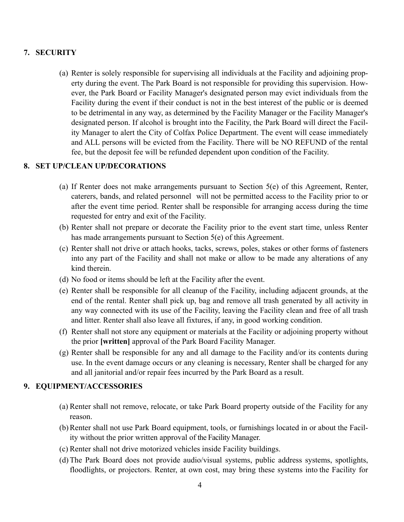# **7. SECURITY**

(a) Renter is solely responsible for supervising all individuals at the Facility and adjoining property during the event. The Park Board is not responsible for providing this supervision. However, the Park Board or Facility Manager's designated person may evict individuals from the Facility during the event if their conduct is not in the best interest of the public or is deemed to be detrimental in any way, as determined by the Facility Manager or the Facility Manager's designated person. If alcohol is brought into the Facility, the Park Board will direct the Facility Manager to alert the City of Colfax Police Department. The event will cease immediately and ALL persons will be evicted from the Facility. There will be NO REFUND of the rental fee, but the deposit fee will be refunded dependent upon condition of the Facility.

### **8. SET UP/CLEAN UP/DECORATIONS**

- (a) If Renter does not make arrangements pursuant to Section 5(e) of this Agreement, Renter, caterers, bands, and related personnel will not be permitted access to the Facility prior to or after the event time period. Renter shall be responsible for arranging access during the time requested for entry and exit of the Facility.
- (b) Renter shall not prepare or decorate the Facility prior to the event start time, unless Renter has made arrangements pursuant to Section 5(e) of this Agreement.
- (c) Renter shall not drive or attach hooks, tacks, screws, poles, stakes or other forms of fasteners into any part of the Facility and shall not make or allow to be made any alterations of any kind therein.
- (d) No food or items should be left at the Facility after the event.
- (e) Renter shall be responsible for all cleanup of the Facility, including adjacent grounds, at the end of the rental. Renter shall pick up, bag and remove all trash generated by all activity in any way connected with its use of the Facility, leaving the Facility clean and free of all trash and litter. Renter shall also leave all fixtures, if any, in good working condition.
- (f) Renter shall not store any equipment or materials at the Facility or adjoining property without the prior **[written]** approval of the Park Board Facility Manager.
- (g) Renter shall be responsible for any and all damage to the Facility and/or its contents during use. In the event damage occurs or any cleaning is necessary, Renter shall be charged for any and all janitorial and/or repair fees incurred by the Park Board as a result.

## **9. EQUIPMENT/ACCESSORIES**

- (a) Renter shall not remove, relocate, or take Park Board property outside of the Facility for any reason.
- (b)Renter shall not use Park Board equipment, tools, or furnishings located in or about the Facility without the prior written approval of the Facility Manager.
- (c) Renter shall not drive motorized vehicles inside Facility buildings.
- (d)The Park Board does not provide audio/visual systems, public address systems, spotlights, floodlights, or projectors. Renter, at own cost, may bring these systems into the Facility for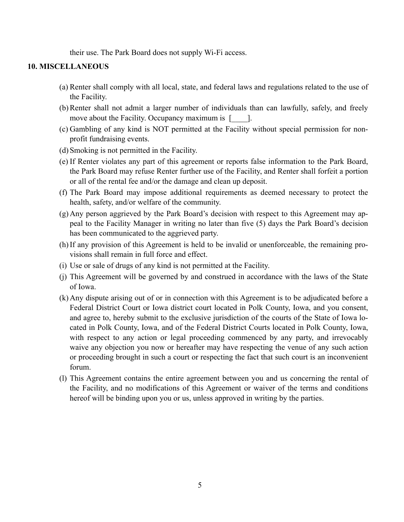their use. The Park Board does not supply Wi-Fi access.

#### **10. MISCELLANEOUS**

- (a) Renter shall comply with all local, state, and federal laws and regulations related to the use of the Facility.
- (b)Renter shall not admit a larger number of individuals than can lawfully, safely, and freely move about the Facility. Occupancy maximum is [2011].
- (c) Gambling of any kind is NOT permitted at the Facility without special permission for nonprofit fundraising events.
- (d) Smoking is not permitted in the Facility.
- (e) If Renter violates any part of this agreement or reports false information to the Park Board, the Park Board may refuse Renter further use of the Facility, and Renter shall forfeit a portion or all of the rental fee and/or the damage and clean up deposit.
- (f) The Park Board may impose additional requirements as deemed necessary to protect the health, safety, and/or welfare of the community.
- (g) Any person aggrieved by the Park Board's decision with respect to this Agreement may appeal to the Facility Manager in writing no later than five (5) days the Park Board's decision has been communicated to the aggrieved party.
- (h)If any provision of this Agreement is held to be invalid or unenforceable, the remaining provisions shall remain in full force and effect.
- (i) Use or sale of drugs of any kind is not permitted at the Facility.
- (j) This Agreement will be governed by and construed in accordance with the laws of the State of Iowa.
- (k) Any dispute arising out of or in connection with this Agreement is to be adjudicated before a Federal District Court or Iowa district court located in Polk County, Iowa, and you consent, and agree to, hereby submit to the exclusive jurisdiction of the courts of the State of Iowa located in Polk County, Iowa, and of the Federal District Courts located in Polk County, Iowa, with respect to any action or legal proceeding commenced by any party, and irrevocably waive any objection you now or hereafter may have respecting the venue of any such action or proceeding brought in such a court or respecting the fact that such court is an inconvenient forum.
- (l) This Agreement contains the entire agreement between you and us concerning the rental of the Facility, and no modifications of this Agreement or waiver of the terms and conditions hereof will be binding upon you or us, unless approved in writing by the parties.